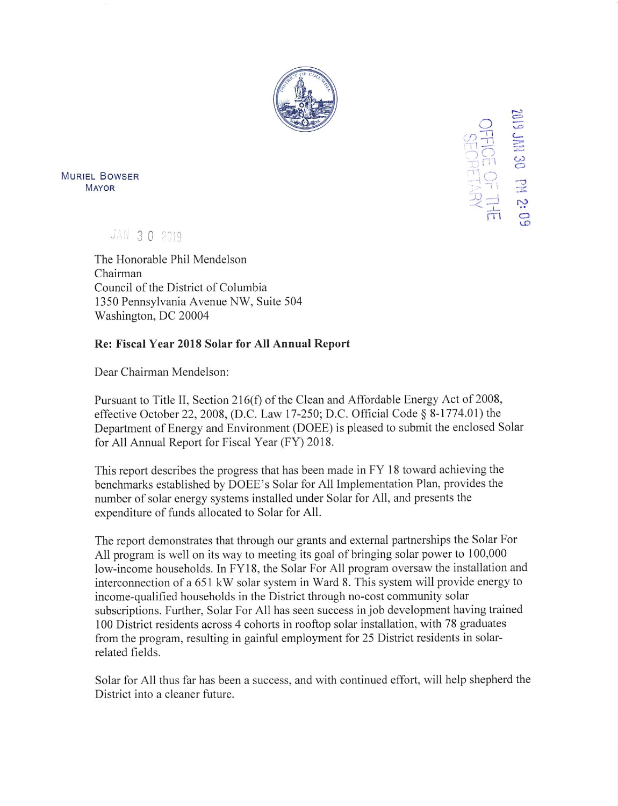

 $Q$  $\equiv$ "T-i  $\frac{9}{2}$ CO o **AM**<br>-HE<br>-HE<br>-BO<br>-BA  $\equiv$ 

MURIEL BOWSER Mayor \*

JAN 30 2019

The Honorable Phil Mendelson Chairman Council of the District of Columbia 1350 Pennsylvania Avenue NW, Suite 504 Washington, DC 20004

## Re: Fiscal Year 2018 Solar for All Annual Report

Dear Chairman Mendelson:

Pursuant to Title II, Section 216(f) of the Clean and Affordable Energy Act of 2008, effective October 22, 2008, (D.C. Law 17-250; D.C. Official Code § 8-1774.01) the Department of Energy and Environment (DOEE) is pleased to submit the enclosed Solar for All Annual Report for Fiscal Year (FY) 2018.

This report describes the progress that has been made in FY 18 toward achieving the benchmarks established by DOEE's Solar for All Implementation Plan, provides the number of solar energy systems installed under Solar for All, and presents the expenditure of funds allocated to Solar for All.

The report demonstrates that through our grants and external partnerships the Solar For All program is well on its way to meeting its goal of bringing solar power to 100,000 low-income households. In FY18, the Solar For All program oversaw the installation and interconnection of a 651 kW solar system in Ward 8. This system will provide energy to income-qualified households in the District through no-cost community solar subscriptions. Further, Solar For All has seen success in job development having trained 100 District residents across 4 cohorts in rooftop solar installation, with 78 graduates from the program, resulting in gainful employment for 25 District residents in solarrelated fields.

Solar for All thus far has been a success, and with continued effort, will help shepherd the District into a cleaner future.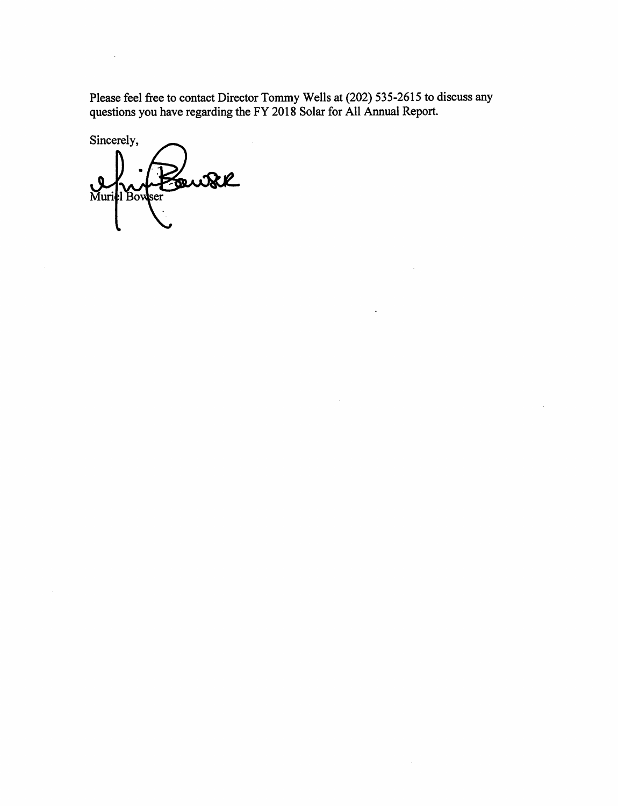Please feel free to contact Director Tommy Wells at (202) 535-2615 to discuss any questions you have regarding the FY 2018 Solar for All Annual Report.

 $\sim$ 

 $\alpha$ 

 $\mathbf{r}$ 

Sincerely, Fourk Muriel Bowser

 $\sim$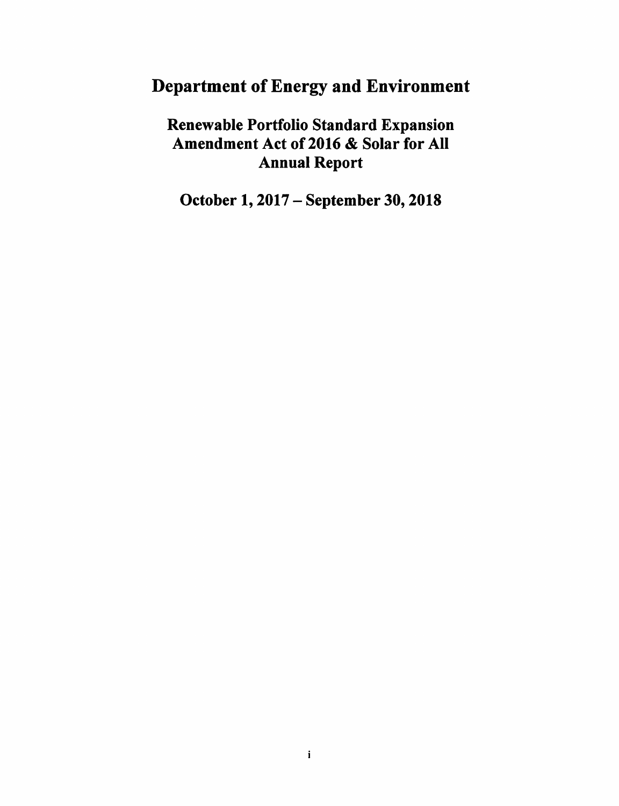# Department of Energy and Environment

Renewable Portfolio Standard Expansion Amendment Act of 2016 & Solar for All Annual Report

October 1,2017 - September 30,2018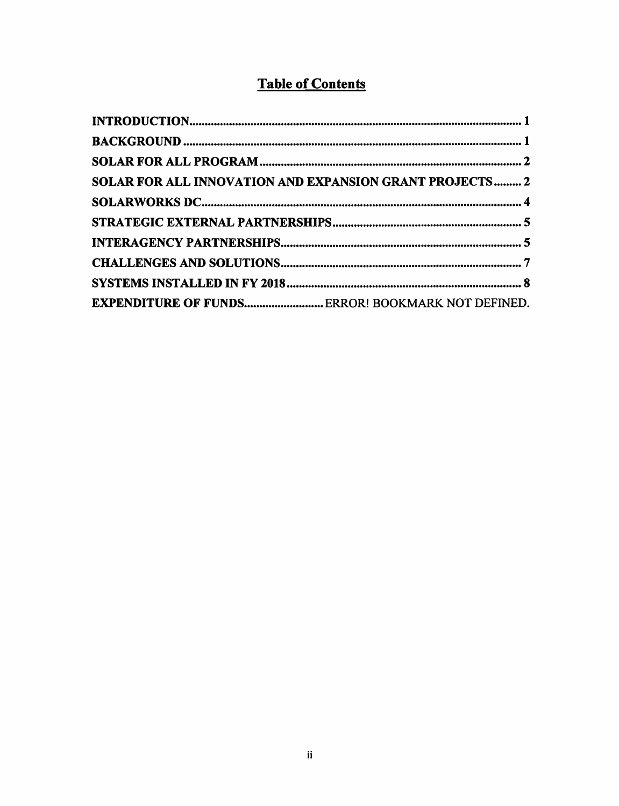## Table of Contents

| SOLAR FOR ALL INNOVATION AND EXPANSION GRANT PROJECTS 2  |
|----------------------------------------------------------|
|                                                          |
|                                                          |
|                                                          |
|                                                          |
|                                                          |
| <b>EXPENDITURE OF FUNDS ERROR! BOOKMARK NOT DEFINED.</b> |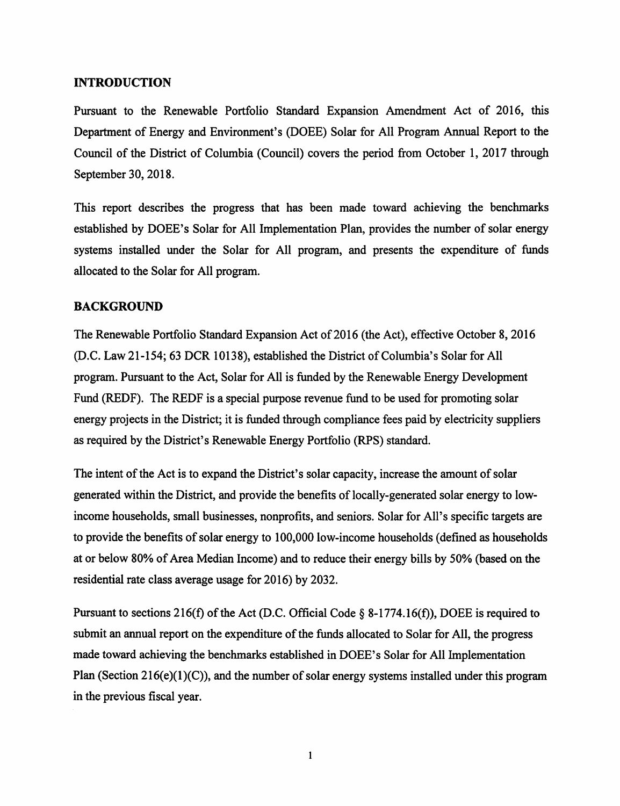### INTRODUCTION

Pursuant to the Renewable Portfolio Standard Expansion Amendment Act of 2016, this Department of Energy and Environment's (DOEE) Solar for All Program Annual Report to the Council of the District of Columbia (Council) covers the period from October 1, 2017 through September 30,2018.

This report describes the progress that has been made toward achieving the benchmarks established by DOEE's Solar for All Implementation Plan, provides the number of solar energy systems installed under the Solar for All program, and presents the expenditure of funds allocated to the Solar for All program.

## BACKGROUND

The Renewable Portfolio Standard Expansion Act of 2016 (the Act), effective October 8, 2016 (D.C. Law 21-154; 63 DCR 10138), established the District of Columbia's Solar for All program. Pursuant to the Act, Solar for All is funded by the Renewable Energy Development Fund (REDF). The REDF is a special purpose revenue fund to be used for promoting solar energy projects in the District; it is funded through compliance fees paid by electricity suppliers as required by the District's Renewable Energy Portfolio (RPS) standard.

The intent of the Act is to expand the District's solar capacity, increase the amount of solar generated within the District, and provide the benefits of locally-generated solar energy to lowincome households, small businesses, nonprofits, and seniors. Solar for All's specific targets are to provide the benefits of solar energy to 100,000 low-income households (defined as households at or below 80% of Area Median Income) and to reduce their energy bills by 50% (based on the residential rate class average usage for 2016) by 2032.

Pursuant to sections 216(f) of the Act (D.C. Official Code § 8-1774.16(f)), DOEE is required to submit an annual report on the expenditure of the funds allocated to Solar for All, the progress made toward achieving the benchmarks established in DOEE's Solar for All Implementation Plan (Section 216(e)(1)(C)), and the number of solar energy systems installed under this program in the previous fiscal year.

 $\mathbf{1}$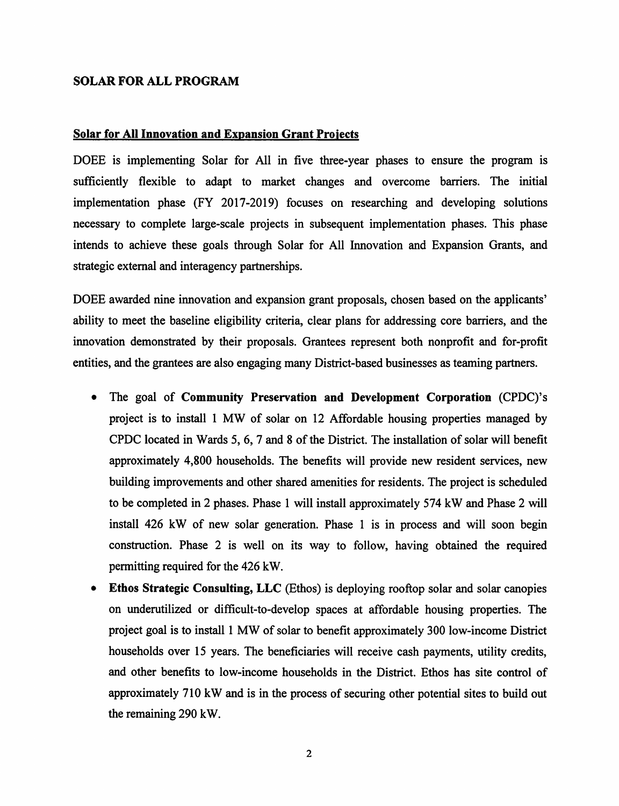#### SOLAR FOR ALL PROGRAM

#### Solar for All Innovation and Expansion Grant Froiects

DOEE is implementing Solar for All in five three-year phases to ensure the program is sufficiently flexible to adapt to market changes and overcome barriers. The initial implementation phase (FY 2017-2019) focuses on researching and developing solutions necessary to complete large-scale projects in subsequent implementation phases. This phase intends to achieve these goals through Solar for All Innovation and Expansion Grants, and strategic external and interagency partnerships.

DOEE awarded nine innovation and expansion grant proposals, chosen based on the applicants' ability to meet the baseline eligibility criteria, clear plans for addressing core barriers, and the innovation demonstrated by their proposals. Grantees represent both nonprofit and for-profit entities, and the grantees are also engaging many District-based businesses as teaming partners.

- The goal of Community Preservation and Development Corporation (CPDC)'s project is to install 1 MW of solar on 12 Affordable housing properties managed by CPDC located in Wards 5, 6, 7 and 8 of the District. The installation of solar will benefit approximately 4,800 households. The benefits will provide new resident services, new building improvements and other shared amenities for residents. The project is scheduled to be completed in 2 phases. Phase 1 will install approximately 574 kW and Phase 2 will install 426 kW of new solar generation. Phase 1 is in process and will soon begin construction. Phase 2 is well on its way to follow, having obtained the required permitting required for the 426 kW.
- Ethos Strategic Consulting, LLC (Ethos) is deploying rooftop solar and solar canopies on underutilized or difficult-to-develop spaces at affordable housing properties. The project goal is to install 1 MW of solar to benefit approximately 300 low-income District households over 15 years. The beneficiaries will receive cash payments, utility credits, and other benefits to low-income households in the District. Ethos has site control of approximately 710 kW and is in the process of securing other potential sites to build out the remaining 290 kW.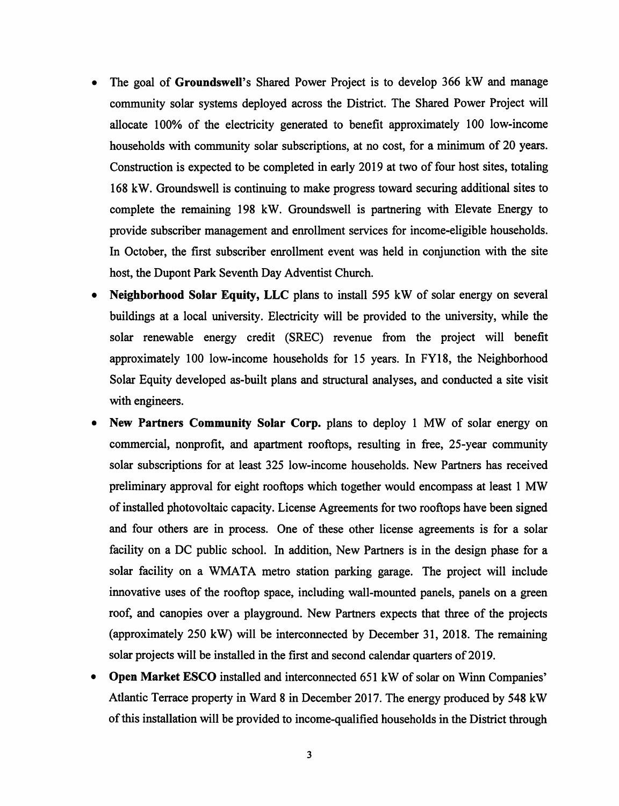- The goal of Groundswell's Shared Power Project is to develop 366 kW and manage community solar systems deployed across the District. The Shared Power Project will allocate 100% of the electricity generated to benefit approximately 100 low-income households with community solar subscriptions, at no cost, for a minimum of 20 years. Construction is expected to be completed in early 2019 at two of four host sites, totaling 168 kW. Groundswell is continuing to make progress toward securing additional sites to complete the remaining 198 kW. Groundswell is partnering with Elevate Energy to provide subscriber management and enrollment services for income-eligible households. In October, the first subscriber enrollment event was held in conjunction with the site host, the Dupont Park Seventh Day Adventist Church.
- Neighborhood Solar Equity, LLC plans to install 595 kW of solar energy on several buildings at a local university. Electricity will be provided to the university, while the solar renewable energy credit (SREC) revenue from the project will benefit approximately 100 low-income households for 15 years. In FY18, the Neighborhood Solar Equity developed as-built plans and structural analyses, and conducted a site visit with engineers.
- New Partners Community Solar Corp. plans to deploy 1 MW of solar energy on commercial, nonprofit, and apartment rooftops, resulting in free, 25-year community solar subscriptions for at least 325 low-income households. New Partners has received preliminary approval for eight rooftops which together would encompass at least 1 MW of installed photovoltaic capacity. License Agreements for two rooftops have been signed and four others are in process. One of these other license agreements is for a solar facility on a DC public school. In addition, New Partners is in the design phase for a solar facility on a WMATA metro station parking garage. The project will include innovative uses of the rooftop space, including wall-mounted panels, panels on a green roof, and canopies over a playground. New Partners expects that three of the projects (approximately 250 kW) will be interconnected by December 31, 2018. The remaining solar projects will be installed in the first and second calendar quarters of 2019.
- Open Market ESCO installed and interconnected 651 kW of solar on Winn Companies' Atlantic Terrace property in Ward 8 in December 2017. The energy produced by 548 kW of this installation will be provided to income-qualified households in the District through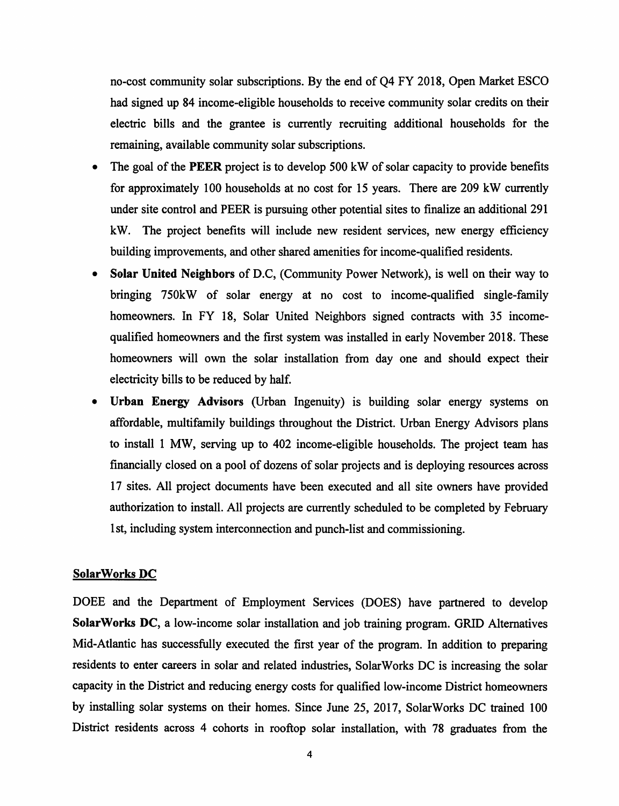no-cost community solar subscriptions. By the end of Q4 FY 2018, Open Market ESCO had signed up 84 income-eligible households to receive community solar credits on their electric bills and the grantee is currently recruiting additional households for the remaining, available community solar subscriptions.

- The goal of the PEER project is to develop 500 kW of solar capacity to provide benefits for approximately 100 households at no cost for 15 years. There are 209 kW currently under site control and PEER is pursuing other potential sites to finalize an additional 291 kW. The project benefits will include new resident services, new energy efficiency building improvements, and other shared amenities for income-qualified residents.
- Solar United Neighbors of D.C, (Community Power Network), is well on their way to bringing 750kW of solar energy at no cost to income-qualified single-family homeowners. In FY 18, Solar United Neighbors signed contracts with 35 incomequalified homeowners and the first system was installed in early November 2018. These homeowners will own the solar installation from day one and should expect their electricity bills to be reduced by half.
- Urban Energy Advisors (Urban Ingenuity) is building solar energy systems on affordable, multifamily buildings throughout the District. Urban Energy Advisors plans to install 1 MW, serving up to 402 income-eligible households. The project team has financially closed on a pool of dozens of solar projects and is deploying resources across 17 sites. All project documents have been executed and all site owners have provided authorization to install. All projects are currently scheduled to be completed by February 1st, including system interconnection and punch-list and commissioning.

#### SolarWorks DC

DOEE and the Department of Employment Services (DOES) have partnered to develop SolarWorks DC, a low-income solar installation and job training program. GRID Alternatives Mid-Atlantic has successfully executed the first year of the program. In addition to preparing residents to enter careers in solar and related industries, SolarWorks DC is increasing the solar capacity in the District and reducing energy costs for qualified low-income District homeowners by installing solar systems on their homes. Since June 25, 2017, SolarWorks DC trained 100 District residents across 4 cohorts in rooftop solar installation, with 78 graduates from the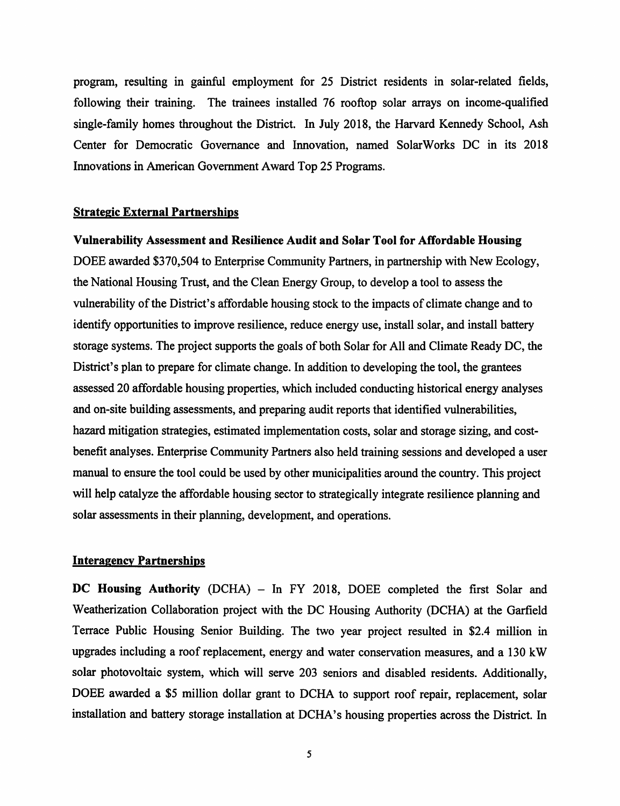program, resulting in gainful employment for 25 District residents in solar-related fields, following their training. The trainees installed 76 rooftop solar arrays on income-qualified single-family homes throughout the District. In July 2018, the Harvard Kennedy School, Ash Center for Democratic Governance and Innovation, named SolarWorks DC in its 2018 Innovations in American Government Award Top 25 Programs.

#### Strategic External Partnerships

#### Vulnerability Assessment and Resilience Audit and Solar Tool for Affordable Housing

DOEE awarded \$370,504 to Enterprise Community Partners, in partnership with New Ecology, the National Housing Trust, and the Clean Energy Group, to develop a tool to assess the vulnerability of the District's affordable housing stock to the impacts of climate change and to identify opportunities to improve resilience, reduce energy use, install solar, and install battery storage systems. The project supports the goals of both Solar for All and Climate Ready DC, the District's plan to prepare for climate change. In addition to developing the tool, the grantees assessed 20 affordable housing properties, which included conducting historical energy analyses and on-site building assessments, and preparing audit reports that identified vulnerabilities, hazard mitigation strategies, estimated implementation costs, solar and storage sizing, and costbenefit analyses. Enterprise Community Partners also held training sessions and developed a user manud to ensure the tool could be used by other municipalities around the country. This project will help catalyze the affordable housing sector to strategically integrate resilience planning and solar assessments in their planning, development, and operations.

#### Interagencv Partnerships

DC Housing Authority (DCHA) – In FY 2018, DOEE completed the first Solar and Weatherization Collaboration project with the DC Housing Authority (DCHA) at the Garfield Terrace Public Housing Senior Building. The two year project resulted in \$2.4 million in upgrades including a roof replacement, energy and water conservation measures, and a 130 kW solar photovoltaic system, which will serve 203 seniors and disabled residents. Additionally, DOEE awarded a \$5 million dollar grant to DCHA to support roof repair, replacement, solar installation and battery storage installation at DCHA's housing properties across the District. In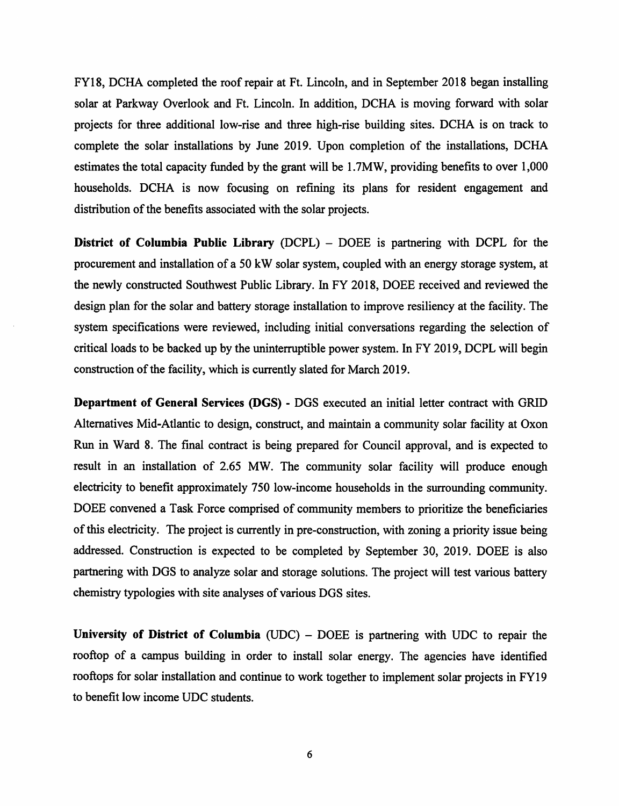FY18, DCHA completed the roof repair at Ft. Lincoln, and in September 2018 began installing solar at Parkway Overlook and Ft. Lincoln. In addition, DCHA is moving forward with solar projects for three additional low-rise and three high-rise building sites. DCHA is on track to complete the solar installations by June 2019. Upon completion of the installations, DCHA estimates the total capacity funded by the grant will be 1.7MW, providing benefits to over 1,000 households. DCHA is now focusing on refining its plans for resident engagement and distribution of the benefits associated with the solar projects.

District of Columbia Public Library (DCPL) – DOEE is partnering with DCPL for the procurement and installation of a 50 kW solar system, coupled with an energy storage system, at the newly constructed Southwest Public Library. In FY 2018, DOEE received and reviewed the design plan for the solar and battery storage installation to improve resiliency at the facility. The system specifications were reviewed, including initial conversations regarding the selection of critical loads to be backed up by the uninterruptible power system. In FY 2019, DCPL will begin construction of the facility, which is currently slated for March 2019.

Department of General Services (DOS) - DOS executed an initial letter contract with GRID Alternatives Mid-Atlantic to design, construct, and maintain a community solar facility at Oxon Run in Ward 8. The final contract is being prepared for Council approval, and is expected to result in an installation of 2.65 MW. The community solar facility will produce enough electricity to benefit approximately 750 low-income households in the surrounding community. DOEE convened a Task Force comprised of community members to prioritize the beneficiaries of this electricity. The project is currently in pre-construction, with zoning a priority issue being addressed. Construction is expected to be completed by September 30, 2019. DOEE is also partnering with DOS to analyze solar and storage solutions. The project will test various battery chemistry typologies with site analyses of various DOS sites.

University of District of Columbia  $(UDC) - DOEE$  is partnering with UDC to repair the rooftop of a campus building in order to install solar energy. The agencies have identified rooftops for solar installation and continue to work together to implement solar projects in FY19 to benefit low income UDC students.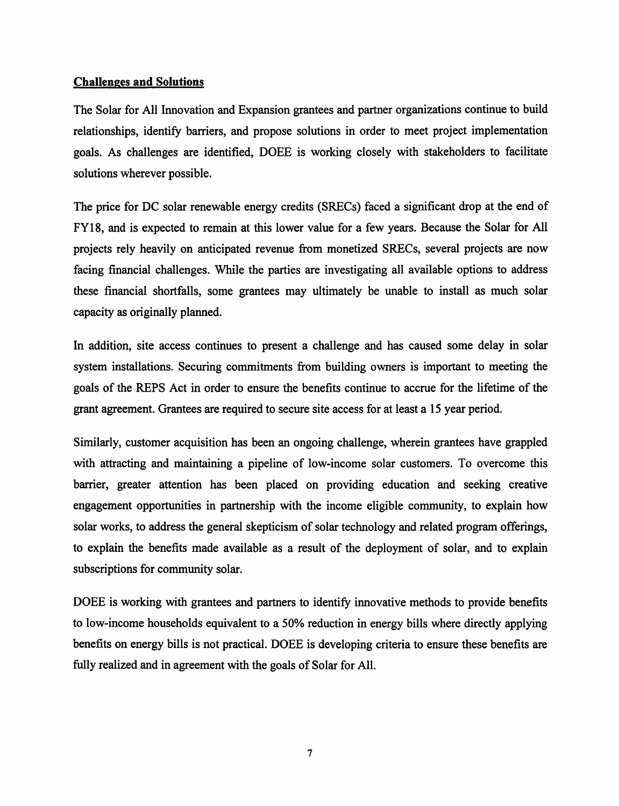## Challenges and Solutions

The Solar for All Innovation and Expansion grantees and partner organizations continue to build relationships, identify barriers, and propose solutions in order to meet project implementation goals. As challenges are identified, DOEE is working closely with stakeholders to facilitate solutions wherever possible.

The price for DC solar renewable energy credits (SRECs) faced a significant drop at the end of FY18, and is expected to remain at this lower value for a few years. Because the Solar for All projects rely heavily on anticipated revenue from monetized SRECs, several projects are now facing financial challenges. While the parties are investigating all available options to address these financial shortfalls, some grantees may ultimately be unable to install as much solar capacity as originally planned.

In addition, site access continues to present a challenge and has caused some delay in solar system installations. Securing commitments from building owners is important to meeting the goals of the REPS Act in order to ensure the benefits continue to accrue for the lifetime of the grant agreement. Grantees are required to secure site access for at least a 15 year period.

Similarly, customer acquisition has been an ongoing challenge, wherein grantees have grappled with attracting and maintaining a pipeline of low-income solar customers. To overcome this barrier, greater attention has been placed on providing education and seeking creative engagement opportunities in partnership with the income eligible community, to explain how solar works, to address the general skepticism of solar technology and related program offerings, to explain the benefits made available as a result of the deployment of solar, and to explain subscriptions for community solar.

DOEE is working with grantees and partners to identify innovative methods to provide benefits to low-income households equivalent to a 50% reduction in energy bills where directly applying benefits on energy bills is not practical. DOEE is developing criteria to ensure these benefits are fully realized and in agreement with the goals of Solar for All.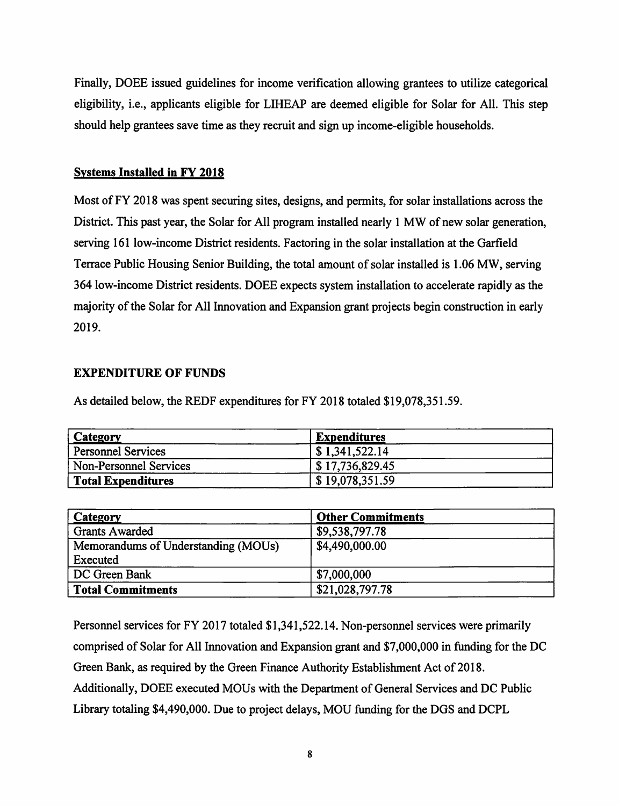Finally, DOEE issued guidelines for income verification allowing grantees to utilize categorical eligibility, i.e., applicants eligible for LIHEAP are deemed eligible for Solar for All. This step should help grantees save time as they recruit and sign up income-eligible households.

## Systems Installed in FY 2018

Most of FY 2018 was spent securing sites, designs, and permits, for solar installations across the District. This past year, the Solar for All program installed nearly 1 MW of new solar generation, serving 161 low-income District residents. Factoring in the solar installation at the Garfield Terrace Public Housing Senior Building, the total amount of solar installed is 1.06 MW, serving 364 low-income District residents. DOEE expects system installation to accelerate rapidly as the majority of the Solar for All Innovation and Expansion grant projects begin construction in early 2019.

## EXPENDITURE OF FUNDS

As detailed below, the REDF expenditures for FY 2018 totaled \$19,078,351.59.

| <b>Category</b>        | <b>Expenditures</b>           |  |
|------------------------|-------------------------------|--|
| Personnel Services     | $\vert$ \$ 1,341,522.14       |  |
| Non-Personnel Services | $\frac{1}{2}$ \$17,736,829.45 |  |
| Total Expenditures     | \$19,078,351.59               |  |

| <b>Category</b>                     | <b>Other Commitments</b> |
|-------------------------------------|--------------------------|
| <b>Grants Awarded</b>               | \$9,538,797.78           |
| Memorandums of Understanding (MOUs) | \$4,490,000.00           |
| Executed                            |                          |
| DC Green Bank                       | \$7,000,000              |
| Total Commitments                   | \$21,028,797.78          |

Personnel services for FY 2017 totaled \$1,341,522.14. Non-personnel services were primarily comprised of Solar for All Innovation and Expansion grant and \$7,000,000 in fimding for the DC Green Bank, as required by the Green Finance Authority Establishment Act of 2018. Additionally, DOEE executed MOUs with the Department of General Services and DC Public Library totaling \$4,490,000. Due to project delays, MOU fimding for the DGS and DCPL